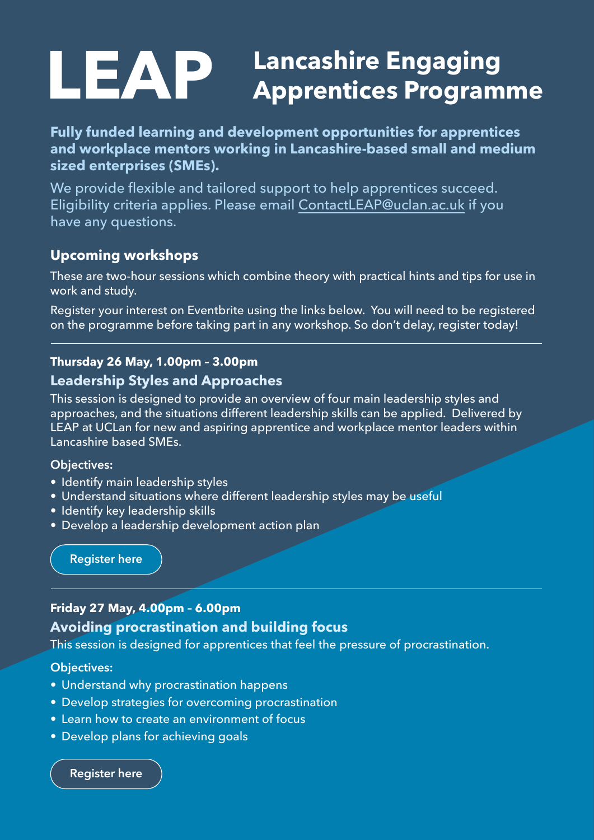# **LEAP** Lancashire Engaging<br> **LEAP** Apprentices Programme

**Fully funded learning and development opportunities for apprentices and workplace mentors working in Lancashire-based small and medium sized enterprises (SMEs).** 

We provide flexible and tailored support to help apprentices succeed. Eligibility criteria applies. Please email C[ontactLEAP@uclan.ac.uk](mailto:contactleap%40uclan.ac.uk?subject=) if you have any questions.

# **Upcoming workshops**

These are two-hour sessions which combine theory with practical hints and tips for use in work and study.

Register your interest on Eventbrite using the links below. You will need to be registered on the programme before taking part in any workshop. So don't delay, register today!

# **Thursday 26 May, 1.00pm – 3.00pm**

## **Leadership Styles and Approaches**

This session is designed to provide an overview of four main leadership styles and approaches, and the situations different leadership skills can be applied. Delivered by LEAP at UCLan for new and aspiring apprentice and workplace mentor leaders within Lancashire based SMEs.

#### **Objectives:**

- Identify main leadership styles
- Understand situations where different leadership styles may be useful
- Identify key leadership skills
- Develop a leadership development action plan

**[Register here](https://www.eventbrite.co.uk/e/leadership-styles-and-approaches-tickets-333507228097?aff=ebdsoporgprofile)**

## **Friday 27 May, 4.00pm – 6.00pm**

# **Avoiding procrastination and building focus**

This session is designed for apprentices that feel the pressure of procrastination.

#### **Objectives:**

- Understand why procrastination happens
- Develop strategies for overcoming procrastination
- Learn how to create an environment of focus
- Develop plans for achieving goals

**[Register here](https://www.eventbrite.co.uk/e/avoiding-procrastination-and-building-focus-tickets-333575331797)**